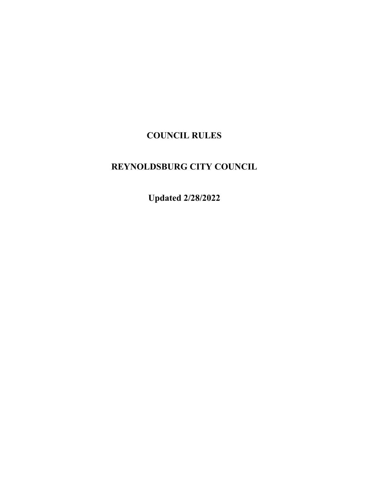# COUNCIL RULES

# REYNOLDSBURG CITY COUNCIL

Updated 2/28/2022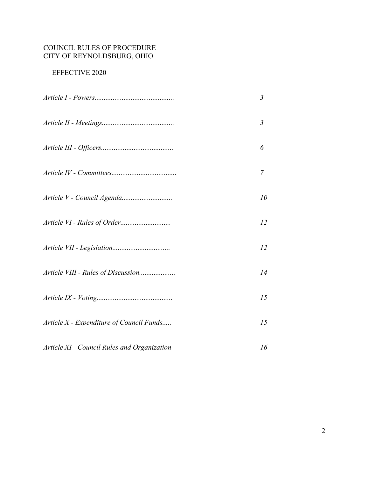## COUNCIL RULES OF PROCEDURE CITY OF REYNOLDSBURG, OHIO

## EFFECTIVE 2020

|                                             | $\mathfrak{Z}$ |
|---------------------------------------------|----------------|
|                                             | $\mathfrak{Z}$ |
|                                             | 6              |
|                                             | 7              |
|                                             | 10             |
|                                             | 12             |
|                                             | 12             |
|                                             | 14             |
|                                             | 15             |
| Article X - Expenditure of Council Funds    | 15             |
| Article XI - Council Rules and Organization | 16             |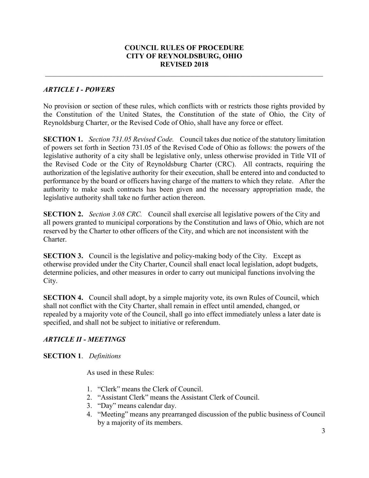#### COUNCIL RULES OF PROCEDURE CITY OF REYNOLDSBURG, OHIO REVISED 2018

## ARTICLE I - POWERS

No provision or section of these rules, which conflicts with or restricts those rights provided by the Constitution of the United States, the Constitution of the state of Ohio, the City of Reynoldsburg Charter, or the Revised Code of Ohio, shall have any force or effect.

SECTION 1. Section 731.05 Revised Code. Council takes due notice of the statutory limitation of powers set forth in Section 731.05 of the Revised Code of Ohio as follows: the powers of the legislative authority of a city shall be legislative only, unless otherwise provided in Title VII of the Revised Code or the City of Reynoldsburg Charter (CRC). All contracts, requiring the authorization of the legislative authority for their execution, shall be entered into and conducted to performance by the board or officers having charge of the matters to which they relate. After the authority to make such contracts has been given and the necessary appropriation made, the legislative authority shall take no further action thereon.

**SECTION 2.** Section 3.08 CRC. Council shall exercise all legislative powers of the City and all powers granted to municipal corporations by the Constitution and laws of Ohio, which are not reserved by the Charter to other officers of the City, and which are not inconsistent with the Charter.

SECTION 3. Council is the legislative and policy-making body of the City. Except as otherwise provided under the City Charter, Council shall enact local legislation, adopt budgets, determine policies, and other measures in order to carry out municipal functions involving the City.

SECTION 4. Council shall adopt, by a simple majority vote, its own Rules of Council, which shall not conflict with the City Charter, shall remain in effect until amended, changed, or repealed by a majority vote of the Council, shall go into effect immediately unless a later date is specified, and shall not be subject to initiative or referendum.

#### ARTICLE II - MEETINGS

SECTION 1. Definitions

As used in these Rules:

- 1. "Clerk" means the Clerk of Council.
- 2. "Assistant Clerk" means the Assistant Clerk of Council.
- 3. "Day" means calendar day.
- 4. "Meeting" means any prearranged discussion of the public business of Council by a majority of its members.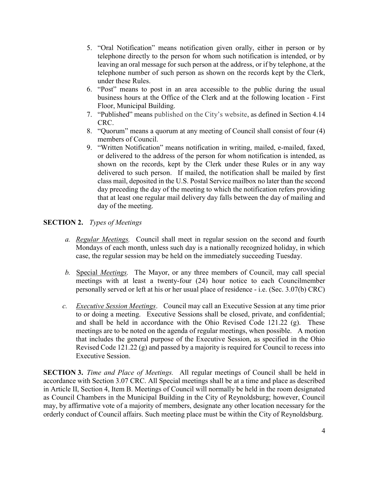- 5. "Oral Notification" means notification given orally, either in person or by telephone directly to the person for whom such notification is intended, or by leaving an oral message for such person at the address, or if by telephone, at the telephone number of such person as shown on the records kept by the Clerk, under these Rules.
- 6. "Post" means to post in an area accessible to the public during the usual business hours at the Office of the Clerk and at the following location - First Floor, Municipal Building.
- 7. "Published" means published on the City's website, as defined in Section 4.14 CRC.
- 8. "Quorum" means a quorum at any meeting of Council shall consist of four (4) members of Council.
- 9. "Written Notification" means notification in writing, mailed, e-mailed, faxed, or delivered to the address of the person for whom notification is intended, as shown on the records, kept by the Clerk under these Rules or in any way delivered to such person. If mailed, the notification shall be mailed by first class mail, deposited in the U.S. Postal Service mailbox no later than the second day preceding the day of the meeting to which the notification refers providing that at least one regular mail delivery day falls between the day of mailing and day of the meeting.

## SECTION 2. Types of Meetings

- a. Regular Meetings. Council shall meet in regular session on the second and fourth Mondays of each month, unless such day is a nationally recognized holiday, in which case, the regular session may be held on the immediately succeeding Tuesday.
- b. Special Meetings. The Mayor, or any three members of Council, may call special meetings with at least a twenty-four (24) hour notice to each Councilmember personally served or left at his or her usual place of residence - i.e. (Sec. 3.07(b) CRC)
- c. Executive Session Meetings. Council may call an Executive Session at any time prior to or doing a meeting. Executive Sessions shall be closed, private, and confidential; and shall be held in accordance with the Ohio Revised Code 121.22 (g). These meetings are to be noted on the agenda of regular meetings, when possible. A motion that includes the general purpose of the Executive Session, as specified in the Ohio Revised Code 121.22 (g) and passed by a majority is required for Council to recess into Executive Session.

SECTION 3. Time and Place of Meetings. All regular meetings of Council shall be held in accordance with Section 3.07 CRC. All Special meetings shall be at a time and place as described in Article II, Section 4, Item B. Meetings of Council will normally be held in the room designated as Council Chambers in the Municipal Building in the City of Reynoldsburg; however, Council may, by affirmative vote of a majority of members, designate any other location necessary for the orderly conduct of Council affairs. Such meeting place must be within the City of Reynoldsburg.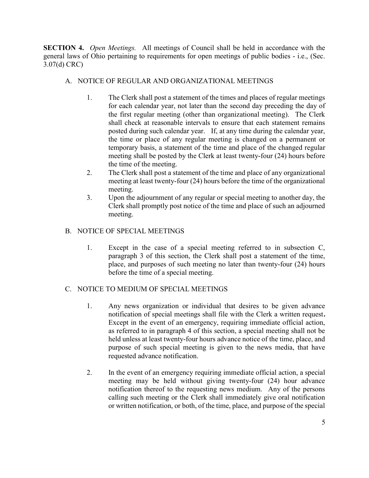SECTION 4. Open Meetings. All meetings of Council shall be held in accordance with the general laws of Ohio pertaining to requirements for open meetings of public bodies - i.e., (Sec. 3.07(d) CRC)

#### A. NOTICE OF REGULAR AND ORGANIZATIONAL MEETINGS

- 1. The Clerk shall post a statement of the times and places of regular meetings for each calendar year, not later than the second day preceding the day of the first regular meeting (other than organizational meeting). The Clerk shall check at reasonable intervals to ensure that each statement remains posted during such calendar year. If, at any time during the calendar year, the time or place of any regular meeting is changed on a permanent or temporary basis, a statement of the time and place of the changed regular meeting shall be posted by the Clerk at least twenty-four (24) hours before the time of the meeting.
- 2. The Clerk shall post a statement of the time and place of any organizational meeting at least twenty-four (24) hours before the time of the organizational meeting.
- 3. Upon the adjournment of any regular or special meeting to another day, the Clerk shall promptly post notice of the time and place of such an adjourned meeting.

#### B. NOTICE OF SPECIAL MEETINGS

1. Except in the case of a special meeting referred to in subsection C, paragraph 3 of this section, the Clerk shall post a statement of the time, place, and purposes of such meeting no later than twenty-four (24) hours before the time of a special meeting.

#### C. NOTICE TO MEDIUM OF SPECIAL MEETINGS

- 1. Any news organization or individual that desires to be given advance notification of special meetings shall file with the Clerk a written request. Except in the event of an emergency, requiring immediate official action, as referred to in paragraph 4 of this section, a special meeting shall not be held unless at least twenty-four hours advance notice of the time, place, and purpose of such special meeting is given to the news media, that have requested advance notification.
- 2. In the event of an emergency requiring immediate official action, a special meeting may be held without giving twenty-four (24) hour advance notification thereof to the requesting news medium. Any of the persons calling such meeting or the Clerk shall immediately give oral notification or written notification, or both, of the time, place, and purpose of the special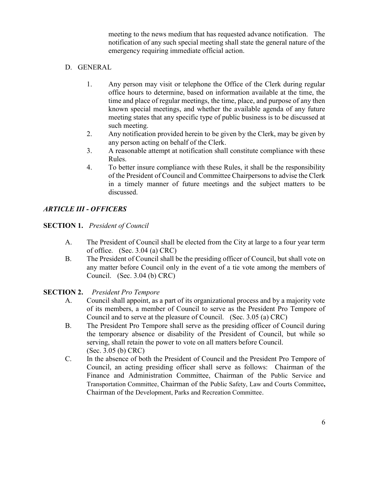meeting to the news medium that has requested advance notification. The notification of any such special meeting shall state the general nature of the emergency requiring immediate official action.

#### D. GENERAL

- 1. Any person may visit or telephone the Office of the Clerk during regular office hours to determine, based on information available at the time, the time and place of regular meetings, the time, place, and purpose of any then known special meetings, and whether the available agenda of any future meeting states that any specific type of public business is to be discussed at such meeting.
- 2. Any notification provided herein to be given by the Clerk, may be given by any person acting on behalf of the Clerk.
- 3. A reasonable attempt at notification shall constitute compliance with these Rules.
- 4. To better insure compliance with these Rules, it shall be the responsibility of the President of Council and Committee Chairpersons to advise the Clerk in a timely manner of future meetings and the subject matters to be discussed.

## ARTICLE III - OFFICERS

#### SECTION 1. President of Council

- A. The President of Council shall be elected from the City at large to a four year term of office. (Sec. 3.04 (a) CRC)
- B. The President of Council shall be the presiding officer of Council, but shall vote on any matter before Council only in the event of a tie vote among the members of Council. (Sec. 3.04 (b) CRC)

#### SECTION 2. President Pro Tempore

- A. Council shall appoint, as a part of its organizational process and by a majority vote of its members, a member of Council to serve as the President Pro Tempore of Council and to serve at the pleasure of Council. (Sec. 3.05 (a) CRC)
- B. The President Pro Tempore shall serve as the presiding officer of Council during the temporary absence or disability of the President of Council, but while so serving, shall retain the power to vote on all matters before Council. (Sec. 3.05 (b) CRC)
- C. In the absence of both the President of Council and the President Pro Tempore of Council, an acting presiding officer shall serve as follows: Chairman of the Finance and Administration Committee, Chairman of the Public Service and Transportation Committee, Chairman of the Public Safety, Law and Courts Committee, Chairman of the Development, Parks and Recreation Committee.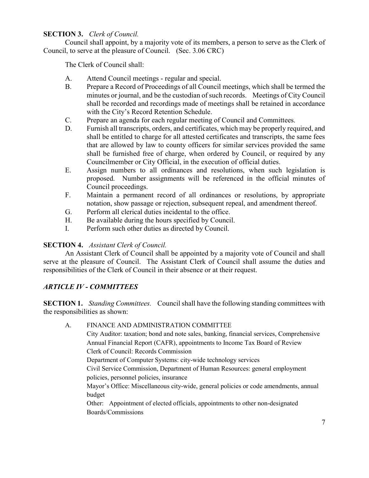#### SECTION 3. Clerk of Council.

Council shall appoint, by a majority vote of its members, a person to serve as the Clerk of Council, to serve at the pleasure of Council. (Sec. 3.06 CRC)

The Clerk of Council shall:

- A. Attend Council meetings regular and special.
- B. Prepare a Record of Proceedings of all Council meetings, which shall be termed the minutes or journal, and be the custodian of such records. Meetings of City Council shall be recorded and recordings made of meetings shall be retained in accordance with the City's Record Retention Schedule.
- C. Prepare an agenda for each regular meeting of Council and Committees.
- D. Furnish all transcripts, orders, and certificates, which may be properly required, and shall be entitled to charge for all attested certificates and transcripts, the same fees that are allowed by law to county officers for similar services provided the same shall be furnished free of charge, when ordered by Council, or required by any Councilmember or City Official, in the execution of official duties.
- E. Assign numbers to all ordinances and resolutions, when such legislation is proposed. Number assignments will be referenced in the official minutes of Council proceedings.
- F. Maintain a permanent record of all ordinances or resolutions, by appropriate notation, show passage or rejection, subsequent repeal, and amendment thereof.
- G. Perform all clerical duties incidental to the office.
- H. Be available during the hours specified by Council.
- I. Perform such other duties as directed by Council.

## SECTION 4. Assistant Clerk of Council.

An Assistant Clerk of Council shall be appointed by a majority vote of Council and shall serve at the pleasure of Council. The Assistant Clerk of Council shall assume the duties and responsibilities of the Clerk of Council in their absence or at their request.

## ARTICLE IV - COMMITTEES

SECTION 1. Standing Committees. Council shall have the following standing committees with the responsibilities as shown:

#### A. FINANCE AND ADMINISTRATION COMMITTEE

City Auditor: taxation; bond and note sales, banking, financial services, Comprehensive Annual Financial Report (CAFR), appointments to Income Tax Board of Review Clerk of Council: Records Commission

Department of Computer Systems: city-wide technology services

Civil Service Commission, Department of Human Resources: general employment policies, personnel policies, insurance

Mayor's Office: Miscellaneous city-wide, general policies or code amendments, annual budget

Other: Appointment of elected officials, appointments to other non-designated Boards/Commissions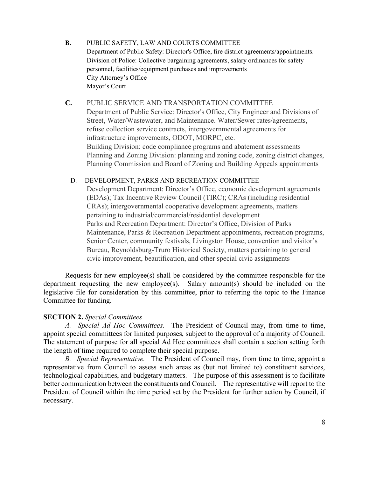B. PUBLIC SAFETY, LAW AND COURTS COMMITTEE Department of Public Safety: Director's Office, fire district agreements/appointments. Division of Police: Collective bargaining agreements, salary ordinances for safety personnel, facilities/equipment purchases and improvements City Attorney's Office Mayor's Court

#### C. PUBLIC SERVICE AND TRANSPORTATION COMMITTEE Department of Public Service: Director's Office, City Engineer and Divisions of Street, Water/Wastewater, and Maintenance. Water/Sewer rates/agreements, refuse collection service contracts, intergovernmental agreements for infrastructure improvements, ODOT, MORPC, etc. Building Division: code compliance programs and abatement assessments Planning and Zoning Division: planning and zoning code, zoning district changes, Planning Commission and Board of Zoning and Building Appeals appointments

#### D. DEVELOPMENT, PARKS AND RECREATION COMMITTEE

Development Department: Director's Office, economic development agreements (EDAs); Tax Incentive Review Council (TIRC); CRAs (including residential CRAs); intergovernmental cooperative development agreements, matters pertaining to industrial/commercial/residential development Parks and Recreation Department: Director's Office, Division of Parks Maintenance, Parks & Recreation Department appointments, recreation programs, Senior Center, community festivals, Livingston House, convention and visitor's Bureau, Reynoldsburg-Truro Historical Society, matters pertaining to general civic improvement, beautification, and other special civic assignments

Requests for new employee(s) shall be considered by the committee responsible for the department requesting the new employee(s). Salary amount(s) should be included on the legislative file for consideration by this committee, prior to referring the topic to the Finance Committee for funding.

#### SECTION 2. Special Committees

A. Special Ad Hoc Committees. The President of Council may, from time to time, appoint special committees for limited purposes, subject to the approval of a majority of Council. The statement of purpose for all special Ad Hoc committees shall contain a section setting forth the length of time required to complete their special purpose.

B. Special Representative. The President of Council may, from time to time, appoint a representative from Council to assess such areas as (but not limited to) constituent services, technological capabilities, and budgetary matters. The purpose of this assessment is to facilitate better communication between the constituents and Council. The representative will report to the President of Council within the time period set by the President for further action by Council, if necessary.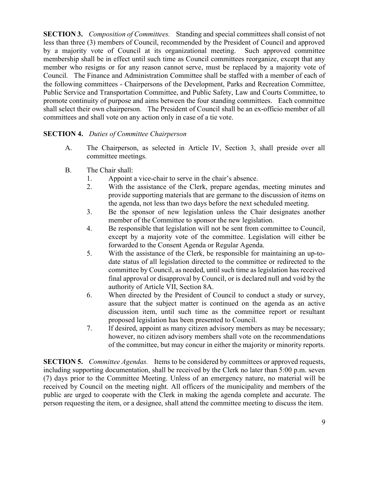SECTION 3. Composition of Committees. Standing and special committees shall consist of not less than three (3) members of Council, recommended by the President of Council and approved by a majority vote of Council at its organizational meeting. Such approved committee membership shall be in effect until such time as Council committees reorganize, except that any member who resigns or for any reason cannot serve, must be replaced by a majority vote of Council. The Finance and Administration Committee shall be staffed with a member of each of the following committees - Chairpersons of the Development, Parks and Recreation Committee, Public Service and Transportation Committee, and Public Safety, Law and Courts Committee, to promote continuity of purpose and aims between the four standing committees. Each committee shall select their own chairperson. The President of Council shall be an ex-officio member of all committees and shall vote on any action only in case of a tie vote.

#### SECTION 4. Duties of Committee Chairperson

- A. The Chairperson, as selected in Article IV, Section 3, shall preside over all committee meetings.
- B. The Chair shall:
	- 1. Appoint a vice-chair to serve in the chair's absence.
	- 2. With the assistance of the Clerk, prepare agendas, meeting minutes and provide supporting materials that are germane to the discussion of items on the agenda, not less than two days before the next scheduled meeting.
	- 3. Be the sponsor of new legislation unless the Chair designates another member of the Committee to sponsor the new legislation.
	- 4. Be responsible that legislation will not be sent from committee to Council, except by a majority vote of the committee. Legislation will either be forwarded to the Consent Agenda or Regular Agenda.
	- 5. With the assistance of the Clerk, be responsible for maintaining an up-todate status of all legislation directed to the committee or redirected to the committee by Council, as needed, until such time as legislation has received final approval or disapproval by Council, or is declared null and void by the authority of Article VII, Section 8A.
	- 6. When directed by the President of Council to conduct a study or survey, assure that the subject matter is continued on the agenda as an active discussion item, until such time as the committee report or resultant proposed legislation has been presented to Council.
	- 7. If desired, appoint as many citizen advisory members as may be necessary; however, no citizen advisory members shall vote on the recommendations of the committee, but may concur in either the majority or minority reports.

SECTION 5. Committee Agendas. Items to be considered by committees or approved requests, including supporting documentation, shall be received by the Clerk no later than 5:00 p.m. seven (7) days prior to the Committee Meeting. Unless of an emergency nature, no material will be received by Council on the meeting night. All officers of the municipality and members of the public are urged to cooperate with the Clerk in making the agenda complete and accurate. The person requesting the item, or a designee, shall attend the committee meeting to discuss the item.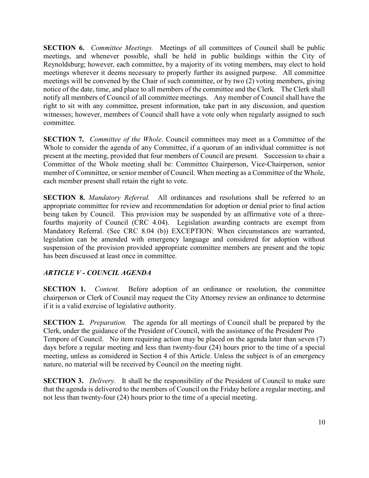SECTION 6. Committee Meetings. Meetings of all committees of Council shall be public meetings, and whenever possible, shall be held in public buildings within the City of Reynoldsburg; however, each committee, by a majority of its voting members, may elect to hold meetings wherever it deems necessary to properly further its assigned purpose. All committee meetings will be convened by the Chair of such committee, or by two (2) voting members, giving notice of the date, time, and place to all members of the committee and the Clerk. The Clerk shall notify all members of Council of all committee meetings. Any member of Council shall have the right to sit with any committee, present information, take part in any discussion, and question witnesses; however, members of Council shall have a vote only when regularly assigned to such committee.

SECTION 7. Committee of the Whole. Council committees may meet as a Committee of the Whole to consider the agenda of any Committee, if a quorum of an individual committee is not present at the meeting, provided that four members of Council are present. Succession to chair a Committee of the Whole meeting shall be: Committee Chairperson, Vice-Chairperson, senior member of Committee, or senior member of Council. When meeting as a Committee of the Whole, each member present shall retain the right to vote.

SECTION 8. Mandatory Referral. All ordinances and resolutions shall be referred to an appropriate committee for review and recommendation for adoption or denial prior to final action being taken by Council. This provision may be suspended by an affirmative vote of a threefourths majority of Council (CRC 4.04). Legislation awarding contracts are exempt from Mandatory Referral. (See CRC 8.04 (b)) EXCEPTION: When circumstances are warranted, legislation can be amended with emergency language and considered for adoption without suspension of the provision provided appropriate committee members are present and the topic has been discussed at least once in committee.

## ARTICLE V - COUNCIL AGENDA

SECTION 1. Content. Before adoption of an ordinance or resolution, the committee chairperson or Clerk of Council may request the City Attorney review an ordinance to determine if it is a valid exercise of legislative authority.

SECTION 2. *Preparation*. The agenda for all meetings of Council shall be prepared by the Clerk, under the guidance of the President of Council, with the assistance of the President Pro Tempore of Council. No item requiring action may be placed on the agenda later than seven (7) days before a regular meeting and less than twenty-four (24) hours prior to the time of a special meeting, unless as considered in Section 4 of this Article. Unless the subject is of an emergency nature, no material will be received by Council on the meeting night.

**SECTION 3.** Delivery. It shall be the responsibility of the President of Council to make sure that the agenda is delivered to the members of Council on the Friday before a regular meeting, and not less than twenty-four (24) hours prior to the time of a special meeting.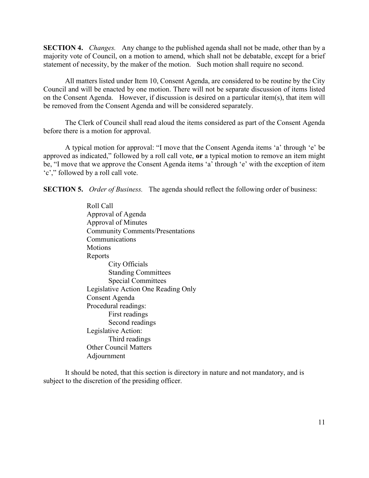SECTION 4. *Changes*. Any change to the published agenda shall not be made, other than by a majority vote of Council, on a motion to amend, which shall not be debatable, except for a brief statement of necessity, by the maker of the motion. Such motion shall require no second.

All matters listed under Item 10, Consent Agenda, are considered to be routine by the City Council and will be enacted by one motion. There will not be separate discussion of items listed on the Consent Agenda. However, if discussion is desired on a particular item(s), that item will be removed from the Consent Agenda and will be considered separately.

The Clerk of Council shall read aloud the items considered as part of the Consent Agenda before there is a motion for approval.

A typical motion for approval: "I move that the Consent Agenda items 'a' through 'e' be approved as indicated," followed by a roll call vote, or a typical motion to remove an item might be, "I move that we approve the Consent Agenda items 'a' through 'e' with the exception of item 'c'," followed by a roll call vote.

SECTION 5. Order of Business. The agenda should reflect the following order of business:

Roll Call Approval of Agenda Approval of Minutes Community Comments/Presentations Communications **Motions** Reports City Officials Standing Committees Special Committees Legislative Action One Reading Only Consent Agenda Procedural readings: First readings Second readings Legislative Action: Third readings Other Council Matters Adjournment

It should be noted, that this section is directory in nature and not mandatory, and is subject to the discretion of the presiding officer.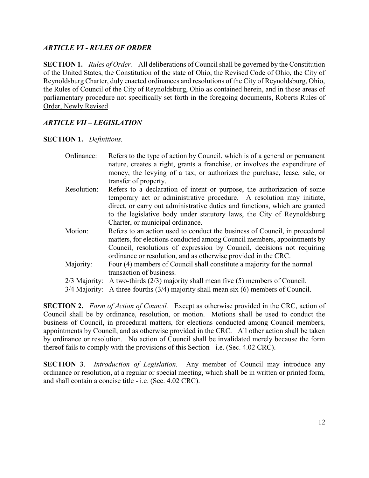#### ARTICLE VI - RULES OF ORDER

SECTION 1. *Rules of Order.* All deliberations of Council shall be governed by the Constitution of the United States, the Constitution of the state of Ohio, the Revised Code of Ohio, the City of Reynoldsburg Charter, duly enacted ordinances and resolutions of the City of Reynoldsburg, Ohio, the Rules of Council of the City of Reynoldsburg, Ohio as contained herein, and in those areas of parliamentary procedure not specifically set forth in the foregoing documents, Roberts Rules of Order, Newly Revised.

#### ARTICLE VII – LEGISLATION

#### SECTION 1. Definitions.

| Ordinance:                     | Refers to the type of action by Council, which is of a general or permanent<br>nature, creates a right, grants a franchise, or involves the expenditure of<br>money, the levying of a tax, or authorizes the purchase, lease, sale, or<br>transfer of property.                                   |
|--------------------------------|---------------------------------------------------------------------------------------------------------------------------------------------------------------------------------------------------------------------------------------------------------------------------------------------------|
| Resolution:                    | Refers to a declaration of intent or purpose, the authorization of some<br>temporary act or administrative procedure. A resolution may initiate,<br>direct, or carry out administrative duties and functions, which are granted                                                                   |
|                                | to the legislative body under statutory laws, the City of Reynoldsburg<br>Charter, or municipal ordinance.                                                                                                                                                                                        |
| Motion:                        | Refers to an action used to conduct the business of Council, in procedural<br>matters, for elections conducted among Council members, appointments by<br>Council, resolutions of expression by Council, decisions not requiring<br>ordinance or resolution, and as otherwise provided in the CRC. |
| Majority:                      | Four (4) members of Council shall constitute a majority for the normal<br>transaction of business.                                                                                                                                                                                                |
| 2/3 Majority:<br>3/4 Majority: | A two-thirds $(2/3)$ majority shall mean five $(5)$ members of Council.<br>A three-fourths $(3/4)$ majority shall mean six $(6)$ members of Council.                                                                                                                                              |
|                                |                                                                                                                                                                                                                                                                                                   |

SECTION 2. Form of Action of Council. Except as otherwise provided in the CRC, action of Council shall be by ordinance, resolution, or motion. Motions shall be used to conduct the business of Council, in procedural matters, for elections conducted among Council members, appointments by Council, and as otherwise provided in the CRC. All other action shall be taken by ordinance or resolution. No action of Council shall be invalidated merely because the form thereof fails to comply with the provisions of this Section - i.e. (Sec. 4.02 CRC).

SECTION 3. Introduction of Legislation. Any member of Council may introduce any ordinance or resolution, at a regular or special meeting, which shall be in written or printed form, and shall contain a concise title - i.e. (Sec. 4.02 CRC).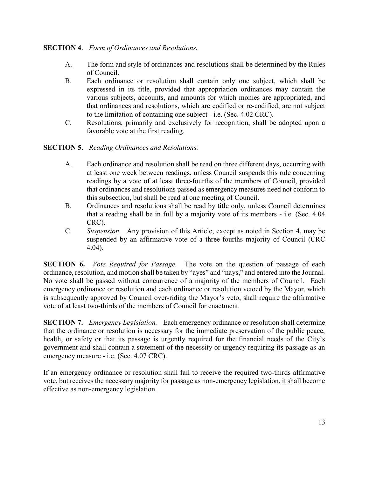#### SECTION 4. Form of Ordinances and Resolutions.

- A. The form and style of ordinances and resolutions shall be determined by the Rules of Council.
- B. Each ordinance or resolution shall contain only one subject, which shall be expressed in its title, provided that appropriation ordinances may contain the various subjects, accounts, and amounts for which monies are appropriated, and that ordinances and resolutions, which are codified or re-codified, are not subject to the limitation of containing one subject - i.e. (Sec. 4.02 CRC).
- C. Resolutions, primarily and exclusively for recognition, shall be adopted upon a favorable vote at the first reading.

#### SECTION 5. Reading Ordinances and Resolutions.

- A. Each ordinance and resolution shall be read on three different days, occurring with at least one week between readings, unless Council suspends this rule concerning readings by a vote of at least three-fourths of the members of Council, provided that ordinances and resolutions passed as emergency measures need not conform to this subsection, but shall be read at one meeting of Council.
- B. Ordinances and resolutions shall be read by title only, unless Council determines that a reading shall be in full by a majority vote of its members - i.e. (Sec. 4.04 CRC).
- C. Suspension. Any provision of this Article, except as noted in Section 4, may be suspended by an affirmative vote of a three-fourths majority of Council (CRC 4.04).

SECTION 6. *Vote Required for Passage*. The vote on the question of passage of each ordinance, resolution, and motion shall be taken by "ayes" and "nays," and entered into the Journal. No vote shall be passed without concurrence of a majority of the members of Council. Each emergency ordinance or resolution and each ordinance or resolution vetoed by the Mayor, which is subsequently approved by Council over-riding the Mayor's veto, shall require the affirmative vote of at least two-thirds of the members of Council for enactment.

SECTION 7. *Emergency Legislation*. Each emergency ordinance or resolution shall determine that the ordinance or resolution is necessary for the immediate preservation of the public peace, health, or safety or that its passage is urgently required for the financial needs of the City's government and shall contain a statement of the necessity or urgency requiring its passage as an emergency measure - i.e. (Sec. 4.07 CRC).

If an emergency ordinance or resolution shall fail to receive the required two-thirds affirmative vote, but receives the necessary majority for passage as non-emergency legislation, it shall become effective as non-emergency legislation.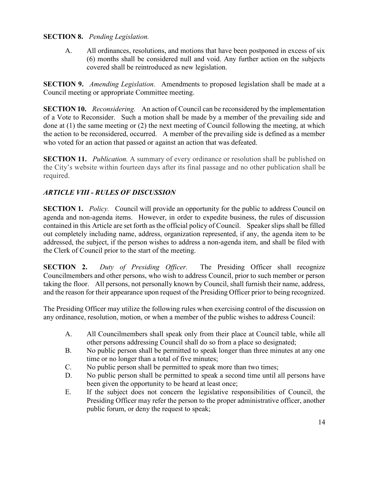### SECTION 8. Pending Legislation.

A. All ordinances, resolutions, and motions that have been postponed in excess of six (6) months shall be considered null and void. Any further action on the subjects covered shall be reintroduced as new legislation.

**SECTION 9.** Amending Legislation. Amendments to proposed legislation shall be made at a Council meeting or appropriate Committee meeting.

SECTION 10. Reconsidering. An action of Council can be reconsidered by the implementation of a Vote to Reconsider. Such a motion shall be made by a member of the prevailing side and done at (1) the same meeting or (2) the next meeting of Council following the meeting, at which the action to be reconsidered, occurred. A member of the prevailing side is defined as a member who voted for an action that passed or against an action that was defeated.

SECTION 11. Publication. A summary of every ordinance or resolution shall be published on the City's website within fourteen days after its final passage and no other publication shall be required.

## ARTICLE VIII - RULES OF DISCUSSION

**SECTION 1.** Policy. Council will provide an opportunity for the public to address Council on agenda and non-agenda items. However, in order to expedite business, the rules of discussion contained in this Article are set forth as the official policy of Council. Speaker slips shall be filled out completely including name, address, organization represented, if any, the agenda item to be addressed, the subject, if the person wishes to address a non-agenda item, and shall be filed with the Clerk of Council prior to the start of the meeting.

SECTION 2. Duty of Presiding Officer. The Presiding Officer shall recognize Councilmembers and other persons, who wish to address Council, prior to such member or person taking the floor. All persons, not personally known by Council, shall furnish their name, address, and the reason for their appearance upon request of the Presiding Officer prior to being recognized.

The Presiding Officer may utilize the following rules when exercising control of the discussion on any ordinance, resolution, motion, or when a member of the public wishes to address Council:

- A. All Councilmembers shall speak only from their place at Council table, while all other persons addressing Council shall do so from a place so designated;
- B. No public person shall be permitted to speak longer than three minutes at any one time or no longer than a total of five minutes;
- C. No public person shall be permitted to speak more than two times;
- D. No public person shall be permitted to speak a second time until all persons have been given the opportunity to be heard at least once;
- E. If the subject does not concern the legislative responsibilities of Council, the Presiding Officer may refer the person to the proper administrative officer, another public forum, or deny the request to speak;